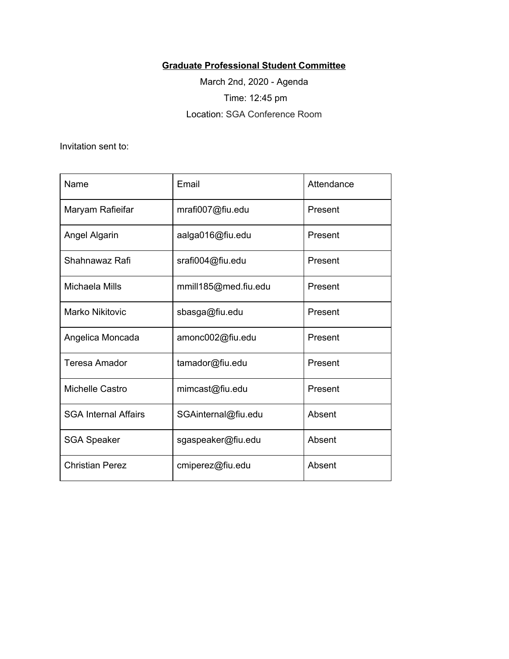## **Graduate Professional Student Committee**

March 2nd, 2020 - Agenda Time: 12:45 pm Location: SGA Conference Room

Invitation sent to:

| Name                        | Email                | Attendance |
|-----------------------------|----------------------|------------|
| Maryam Rafieifar            | mrafi007@fiu.edu     | Present    |
| Angel Algarin               | aalga016@fiu.edu     | Present    |
| Shahnawaz Rafi              | srafi004@fiu.edu     | Present    |
| Michaela Mills              | mmill185@med.fiu.edu | Present    |
| Marko Nikitovic             | sbasga@fiu.edu       | Present    |
| Angelica Moncada            | amonc002@fiu.edu     | Present    |
| <b>Teresa Amador</b>        | tamador@fiu.edu      | Present    |
| Michelle Castro             | mimcast@fiu.edu      | Present    |
| <b>SGA Internal Affairs</b> | SGAinternal@fiu.edu  | Absent     |
| <b>SGA Speaker</b>          | sgaspeaker@fiu.edu   | Absent     |
| <b>Christian Perez</b>      | cmiperez@fiu.edu     | Absent     |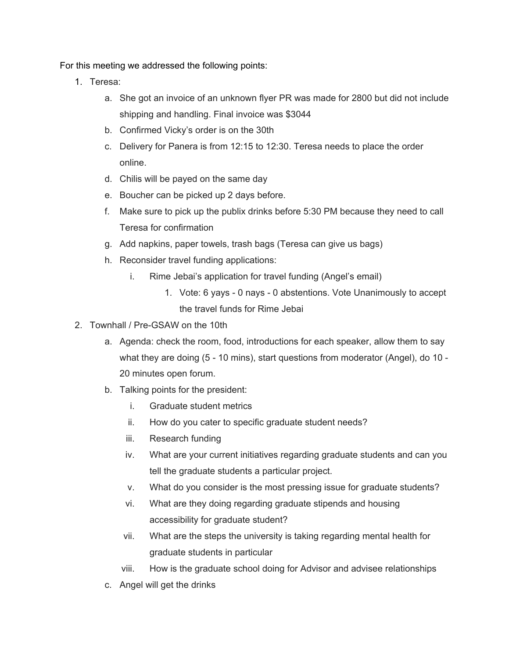For this meeting we addressed the following points:

- 1. Teresa:
	- a. She got an invoice of an unknown flyer PR was made for 2800 but did not include shipping and handling. Final invoice was \$3044
	- b. Confirmed Vicky's order is on the 30th
	- c. Delivery for Panera is from 12:15 to 12:30. Teresa needs to place the order online.
	- d. Chilis will be payed on the same day
	- e. Boucher can be picked up 2 days before.
	- f. Make sure to pick up the publix drinks before 5:30 PM because they need to call Teresa for confirmation
	- g. Add napkins, paper towels, trash bags (Teresa can give us bags)
	- h. Reconsider travel funding applications:
		- i. Rime Jebai's application for travel funding (Angel's email)
			- 1. Vote: 6 yays 0 nays 0 abstentions. Vote Unanimously to accept the travel funds for Rime Jebai
- 2. Townhall / Pre-GSAW on the 10th
	- a. Agenda: check the room, food, introductions for each speaker, allow them to say what they are doing (5 - 10 mins), start questions from moderator (Angel), do 10 - 20 minutes open forum.
	- b. Talking points for the president:
		- i. Graduate student metrics
		- ii. How do you cater to specific graduate student needs?
		- iii. Research funding
		- iv. What are your current initiatives regarding graduate students and can you tell the graduate students a particular project.
		- v. What do you consider is the most pressing issue for graduate students?
		- vi. What are they doing regarding graduate stipends and housing accessibility for graduate student?
		- vii. What are the steps the university is taking regarding mental health for graduate students in particular
		- viii. How is the graduate school doing for Advisor and advisee relationships
	- c. Angel will get the drinks